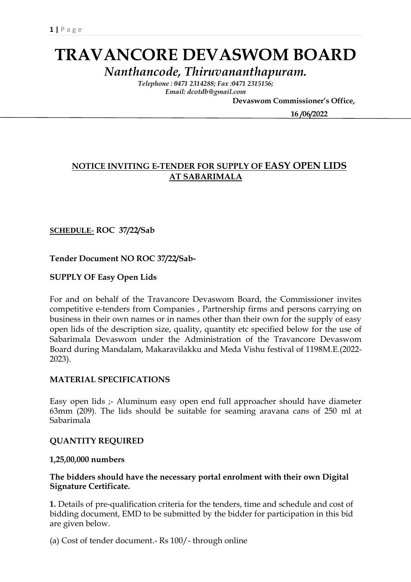# **TRAVANCORE DEVASWOM BOARD**

*Nanthancode, Thiruvananthapuram.*

*Telephone : 0471 2314288; Fax :0471 2315156; Email: dcotdb@gmail.com*

 **Devaswom Commissioner's Office,**

 **16 /06/2022**

# **NOTICE INVITING E-TENDER FOR SUPPLY OF EASY OPEN LIDS AT SABARIMALA**

## **SCHEDULE- ROC 37/22/Sab**

**Tender Document NO ROC 37/22/Sab-**

**SUPPLY OF Easy Open Lids**

For and on behalf of the Travancore Devaswom Board, the Commissioner invites competitive e-tenders from Companies , Partnership firms and persons carrying on business in their own names or in names other than their own for the supply of easy open lids of the description size, quality, quantity etc specified below for the use of Sabarimala Devaswom under the Administration of the Travancore Devaswom Board during Mandalam, Makaravilakku and Meda Vishu festival of 1198M.E.(2022- 2023).

#### **MATERIAL SPECIFICATIONS**

Easy open lids ;- Aluminum easy open end full approacher should have diameter 63mm (209). The lids should be suitable for seaming aravana cans of 250 ml at Sabarimala

#### **QUANTITY REQUIRED**

#### **1,25,00,000 numbers**

#### **The bidders should have the necessary portal enrolment with their own Digital Signature Certificate.**

**1.** Details of pre-qualification criteria for the tenders, time and schedule and cost of bidding document, EMD to be submitted by the bidder for participation in this bid are given below.

(a) Cost of tender document.- Rs 100/- through online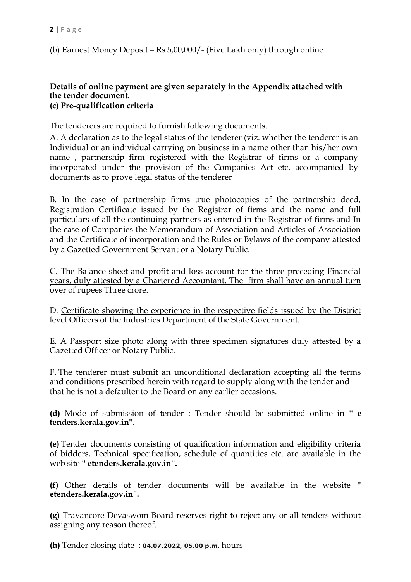(b) Earnest Money Deposit – Rs 5,00,000/- (Five Lakh only) through online

#### **Details of online payment are given separately in the Appendix attached with the tender document. (c) Pre-qualification criteria**

The tenderers are required to furnish following documents.

A. A declaration as to the legal status of the tenderer (viz. whether the tenderer is an Individual or an individual carrying on business in a name other than his/her own name , partnership firm registered with the Registrar of firms or a company incorporated under the provision of the Companies Act etc. accompanied by documents as to prove legal status of the tenderer

B. In the case of partnership firms true photocopies of the partnership deed, Registration Certificate issued by the Registrar of firms and the name and full particulars of all the continuing partners as entered in the Registrar of firms and In the case of Companies the Memorandum of Association and Articles of Association and the Certificate of incorporation and the Rules or Bylaws of the company attested by a Gazetted Government Servant or a Notary Public.

C. The Balance sheet and profit and loss account for the three preceding Financial years, duly attested by a Chartered Accountant. The firm shall have an annual turn over of rupees Three crore.

D. Certificate showing the experience in the respective fields issued by the District level Officers of the Industries Department of the State Government.

E. A Passport size photo along with three specimen signatures duly attested by a Gazetted Officer or Notary Public.

F. The tenderer must submit an unconditional declaration accepting all the terms and conditions prescribed herein with regard to supply along with the tender and that he is not a defaulter to the Board on any earlier occasions.

**(d)** Mode of submission of tender : Tender should be submitted online in **'' e tenders.kerala.gov.in''.** 

**(e)** Tender documents consisting of qualification information and eligibility criteria of bidders, Technical specification, schedule of quantities etc. are available in the web site **'' etenders.kerala.gov.in''.**

**(f)** Other details of tender documents will be available in the website **'' etenders.kerala.gov.in''.** 

**(g)** Travancore Devaswom Board reserves right to reject any or all tenders without assigning any reason thereof.

**(h)** Tender closing date : **04.07.2022, 05.00 p.m**. hours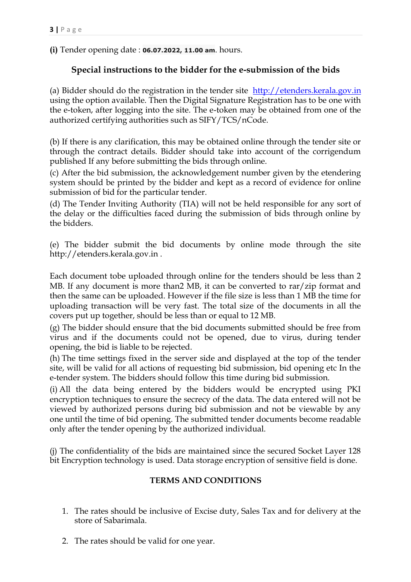**(i)** Tender opening date : **06.07.2022, 11.00 am**. hours.

# **Special instructions to the bidder for the e-submission of the bids**

(a) Bidder should do the registration in the tender site [http://etenders.kerala.gov.in](http://etenders.kerala.gov.in/) using the option available. Then the Digital Signature Registration has to be one with the e-token, after logging into the site. The e-token may be obtained from one of the authorized certifying authorities such as SIFY/TCS/nCode.

(b) If there is any clarification, this may be obtained online through the tender site or through the contract details. Bidder should take into account of the corrigendum published If any before submitting the bids through online.

(c) After the bid submission, the acknowledgement number given by the etendering system should be printed by the bidder and kept as a record of evidence for online submission of bid for the particular tender.

(d) The Tender Inviting Authority (TIA) will not be held responsible for any sort of the delay or the difficulties faced during the submission of bids through online by the bidders.

(e) The bidder submit the bid documents by online mode through the site http://etenders.kerala.gov.in .

Each document tobe uploaded through online for the tenders should be less than 2 MB. If any document is more than2 MB, it can be converted to rar/zip format and then the same can be uploaded. However if the file size is less than 1 MB the time for uploading transaction will be very fast. The total size of the documents in all the covers put up together, should be less than or equal to 12 MB.

(g) The bidder should ensure that the bid documents submitted should be free from virus and if the documents could not be opened, due to virus, during tender opening, the bid is liable to be rejected.

(h) The time settings fixed in the server side and displayed at the top of the tender site, will be valid for all actions of requesting bid submission, bid opening etc In the e-tender system. The bidders should follow this time during bid submission.

(i) All the data being entered by the bidders would be encrypted using PKI encryption techniques to ensure the secrecy of the data. The data entered will not be viewed by authorized persons during bid submission and not be viewable by any one until the time of bid opening. The submitted tender documents become readable only after the tender opening by the authorized individual.

(j) The confidentiality of the bids are maintained since the secured Socket Layer 128 bit Encryption technology is used. Data storage encryption of sensitive field is done.

## **TERMS AND CONDITIONS**

- 1. The rates should be inclusive of Excise duty, Sales Tax and for delivery at the store of Sabarimala.
- 2. The rates should be valid for one year.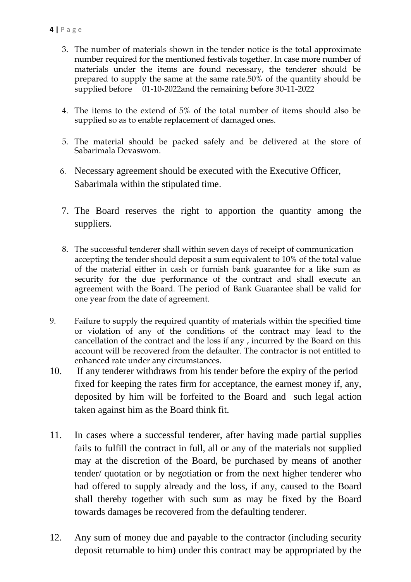- 3. The number of materials shown in the tender notice is the total approximate number required for the mentioned festivals together. In case more number of materials under the items are found necessary, the tenderer should be prepared to supply the same at the same rate.50% of the quantity should be supplied before 01-10-2022and the remaining before 30-11-2022
- 4. The items to the extend of 5% of the total number of items should also be supplied so as to enable replacement of damaged ones.
- 5. The material should be packed safely and be delivered at the store of Sabarimala Devaswom.
- 6. Necessary agreement should be executed with the Executive Officer, Sabarimala within the stipulated time.
- 7. The Board reserves the right to apportion the quantity among the suppliers.
- 8. The successful tenderer shall within seven days of receipt of communication accepting the tender should deposit a sum equivalent to 10% of the total value of the material either in cash or furnish bank guarantee for a like sum as security for the due performance of the contract and shall execute an agreement with the Board. The period of Bank Guarantee shall be valid for one year from the date of agreement.
- 9. Failure to supply the required quantity of materials within the specified time or violation of any of the conditions of the contract may lead to the cancellation of the contract and the loss if any , incurred by the Board on this account will be recovered from the defaulter. The contractor is not entitled to enhanced rate under any circumstances.
- 10. If any tenderer withdraws from his tender before the expiry of the period fixed for keeping the rates firm for acceptance, the earnest money if, any, deposited by him will be forfeited to the Board and such legal action taken against him as the Board think fit.
- 11. In cases where a successful tenderer, after having made partial supplies fails to fulfill the contract in full, all or any of the materials not supplied may at the discretion of the Board, be purchased by means of another tender/ quotation or by negotiation or from the next higher tenderer who had offered to supply already and the loss, if any, caused to the Board shall thereby together with such sum as may be fixed by the Board towards damages be recovered from the defaulting tenderer.
- 12. Any sum of money due and payable to the contractor (including security deposit returnable to him) under this contract may be appropriated by the